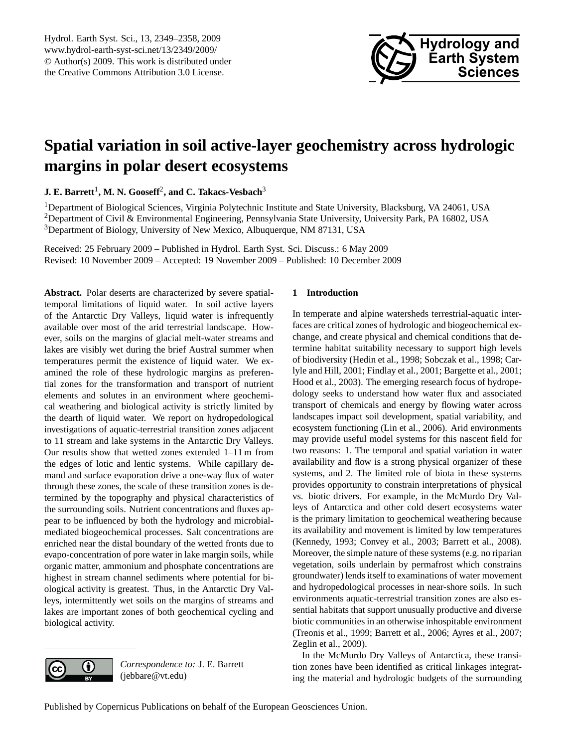

# <span id="page-0-0"></span>**Spatial variation in soil active-layer geochemistry across hydrologic margins in polar desert ecosystems**

**J. E. Barrett<sup>1</sup>, M. N. Gooseff<sup>2</sup>, and C. Takacs-Vesbach** $^3$ 

<sup>1</sup>Department of Biological Sciences, Virginia Polytechnic Institute and State University, Blacksburg, VA 24061, USA <sup>2</sup>Department of Civil & Environmental Engineering, Pennsylvania State University, University Park, PA 16802, USA <sup>3</sup>Department of Biology, University of New Mexico, Albuquerque, NM 87131, USA

Received: 25 February 2009 – Published in Hydrol. Earth Syst. Sci. Discuss.: 6 May 2009 Revised: 10 November 2009 – Accepted: 19 November 2009 – Published: 10 December 2009

**Abstract.** Polar deserts are characterized by severe spatialtemporal limitations of liquid water. In soil active layers of the Antarctic Dry Valleys, liquid water is infrequently available over most of the arid terrestrial landscape. However, soils on the margins of glacial melt-water streams and lakes are visibly wet during the brief Austral summer when temperatures permit the existence of liquid water. We examined the role of these hydrologic margins as preferential zones for the transformation and transport of nutrient elements and solutes in an environment where geochemical weathering and biological activity is strictly limited by the dearth of liquid water. We report on hydropedological investigations of aquatic-terrestrial transition zones adjacent to 11 stream and lake systems in the Antarctic Dry Valleys. Our results show that wetted zones extended 1–11 m from the edges of lotic and lentic systems. While capillary demand and surface evaporation drive a one-way flux of water through these zones, the scale of these transition zones is determined by the topography and physical characteristics of the surrounding soils. Nutrient concentrations and fluxes appear to be influenced by both the hydrology and microbialmediated biogeochemical processes. Salt concentrations are enriched near the distal boundary of the wetted fronts due to evapo-concentration of pore water in lake margin soils, while organic matter, ammonium and phosphate concentrations are highest in stream channel sediments where potential for biological activity is greatest. Thus, in the Antarctic Dry Valleys, intermittently wet soils on the margins of streams and lakes are important zones of both geochemical cycling and biological activity.

## **1 Introduction**

In temperate and alpine watersheds terrestrial-aquatic interfaces are critical zones of hydrologic and biogeochemical exchange, and create physical and chemical conditions that determine habitat suitability necessary to support high levels of biodiversity (Hedin et al., 1998; Sobczak et al., 1998; Carlyle and Hill, 2001; Findlay et al., 2001; Bargette et al., 2001; Hood et al., 2003). The emerging research focus of hydropedology seeks to understand how water flux and associated transport of chemicals and energy by flowing water across landscapes impact soil development, spatial variability, and ecosystem functioning (Lin et al., 2006). Arid environments may provide useful model systems for this nascent field for two reasons: 1. The temporal and spatial variation in water availability and flow is a strong physical organizer of these systems, and 2. The limited role of biota in these systems provides opportunity to constrain interpretations of physical vs. biotic drivers. For example, in the McMurdo Dry Valleys of Antarctica and other cold desert ecosystems water is the primary limitation to geochemical weathering because its availability and movement is limited by low temperatures (Kennedy, 1993; Convey et al., 2003; Barrett et al., 2008). Moreover, the simple nature of these systems (e.g. no riparian vegetation, soils underlain by permafrost which constrains groundwater) lends itself to examinations of water movement and hydropedological processes in near-shore soils. In such environments aquatic-terrestrial transition zones are also essential habitats that support unusually productive and diverse biotic communities in an otherwise inhospitable environment (Treonis et al., 1999; Barrett et al., 2006; Ayres et al., 2007; Zeglin et al., 2009).

In the McMurdo Dry Valleys of Antarctica, these transition zones have been identified as critical linkages integrating the material and hydrologic budgets of the surrounding



*Correspondence to:* J. E. Barrett (jebbare@vt.edu)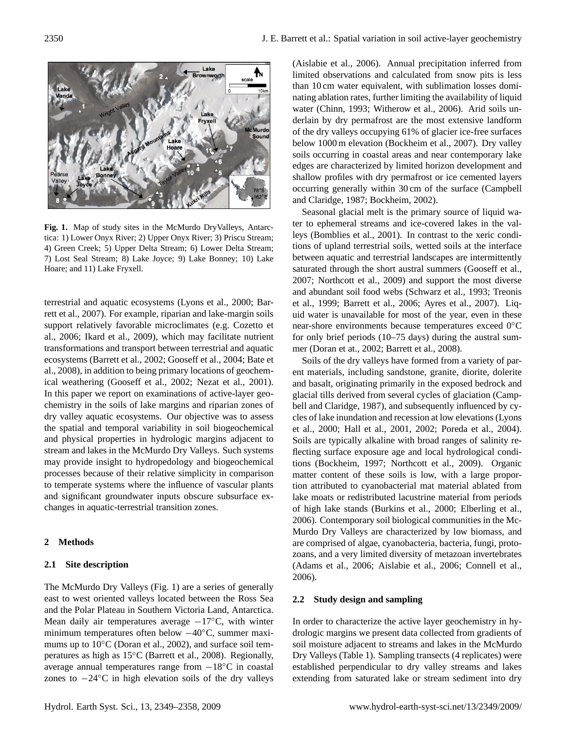

**Fig. 1.** Map of study sites in the McMurdo DryValleys, Antarctica: 1) Lower Onyx River; 2) Upper Onyx River; 3) Priscu Stream; 4) Green Creek; 5) Upper Delta Stream; 6) Lower Delta Stream; 7) Lost Seal Stream; 8) Lake Joyce; 9) Lake Bonney; 10) Lake Hoare; and 11) Lake Fryxell.

31 ical weathering (Gooseff et al., 2002; Nezat et al., 2001). terrestrial and aquatic ecosystems (Lyons et al., 2000; Barrett et al., 2007). For example, riparian and lake-margin soils support relatively favorable microclimates (e.g. Cozetto et al., 2006; Ikard et al., 2009), which may facilitate nutrient transformations and transport between terrestrial and aquatic ecosystems (Barrett et al., 2002; Gooseff et al., 2004; Bate et al., 2008), in addition to being primary locations of geochem-In this paper we report on examinations of active-layer geochemistry in the soils of lake margins and riparian zones of dry valley aquatic ecosystems. Our objective was to assess the spatial and temporal variability in soil biogeochemical and physical properties in hydrologic margins adjacent to stream and lakes in the McMurdo Dry Valleys. Such systems may provide insight to hydropedology and biogeochemical processes because of their relative simplicity in comparison to temperate systems where the influence of vascular plants and significant groundwater inputs obscure subsurface exchanges in aquatic-terrestrial transition zones.

## **2 Methods**

#### **2.1 Site description**

The McMurdo Dry Valleys (Fig. 1) are a series of generally east to west oriented valleys located between the Ross Sea and the Polar Plateau in Southern Victoria Land, Antarctica. Mean daily air temperatures average  $-17°C$ , with winter minimum temperatures often below −40◦C, summer maximums up to 10<sup>°</sup>C (Doran et al., 2002), and surface soil temperatures as high as 15◦C (Barrett et al., 2008). Regionally, average annual temperatures range from −18◦C in coastal zones to −24◦C in high elevation soils of the dry valleys (Aislabie et al., 2006). Annual precipitation inferred from limited observations and calculated from snow pits is less than 10 cm water equivalent, with sublimation losses dominating ablation rates, further limiting the availability of liquid water (Chinn, 1993; Witherow et al., 2006). Arid soils underlain by dry permafrost are the most extensive landform of the dry valleys occupying 61% of glacier ice-free surfaces below 1000 m elevation (Bockheim et al., 2007). Dry valley soils occurring in coastal areas and near contemporary lake edges are characterized by limited horizon development and shallow profiles with dry permafrost or ice cemented layers occurring generally within 30 cm of the surface (Campbell and Claridge, 1987; Bockheim, 2002).

Seasonal glacial melt is the primary source of liquid water to ephemeral streams and ice-covered lakes in the valleys (Bomblies et al., 2001). In contrast to the xeric conditions of upland terrestrial soils, wetted soils at the interface between aquatic and terrestrial landscapes are intermittently saturated through the short austral summers (Gooseff et al., 2007; Northcott et al., 2009) and support the most diverse and abundant soil food webs (Schwarz et al., 1993; Treonis et al., 1999; Barrett et al., 2006; Ayres et al., 2007). Liquid water is unavailable for most of the year, even in these near-shore environments because temperatures exceed 0◦C for only brief periods (10–75 days) during the austral summer (Doran et at., 2002; Barrett et al., 2008).

Soils of the dry valleys have formed from a variety of parent materials, including sandstone, granite, diorite, dolerite and basalt, originating primarily in the exposed bedrock and glacial tills derived from several cycles of glaciation (Campbell and Claridge, 1987), and subsequently influenced by cycles of lake inundation and recession at low elevations (Lyons et al., 2000; Hall et al., 2001, 2002; Poreda et al., 2004). Soils are typically alkaline with broad ranges of salinity reflecting surface exposure age and local hydrological conditions (Bockheim, 1997; Northcott et al., 2009). Organic matter content of these soils is low, with a large proportion attributed to cyanobacterial mat material ablated from lake moats or redistributed lacustrine material from periods of high lake stands (Burkins et al., 2000; Elberling et al., 2006). Contemporary soil biological communities in the Mc-Murdo Dry Valleys are characterized by low biomass, and are comprised of algae, cyanobacteria, bacteria, fungi, protozoans, and a very limited diversity of metazoan invertebrates (Adams et al., 2006; Aislabie et al., 2006; Connell et al., 2006).

#### **2.2 Study design and sampling**

In order to characterize the active layer geochemistry in hydrologic margins we present data collected from gradients of soil moisture adjacent to streams and lakes in the McMurdo Dry Valleys (Table 1). Sampling transects (4 replicates) were established perpendicular to dry valley streams and lakes extending from saturated lake or stream sediment into dry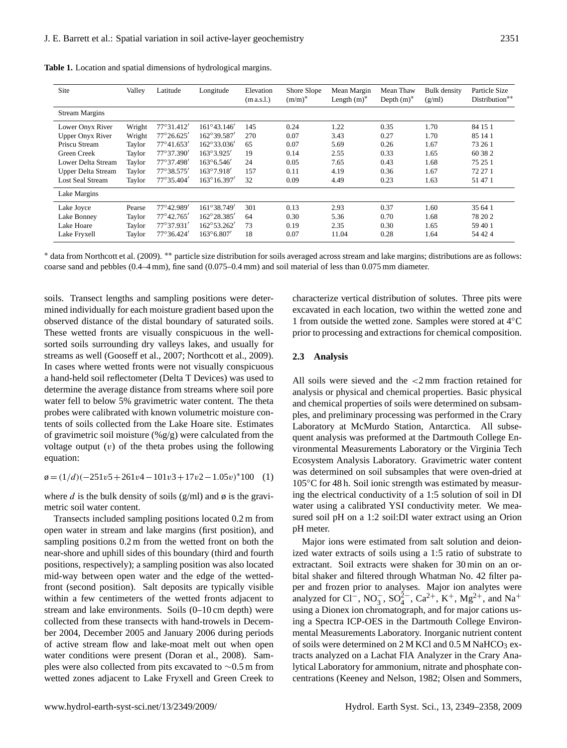| Site                      | Valley | Latitude            | Longitude            | Elevation<br>(m a.s. l.) | Shore Slope<br>$(m/m)^*$ | Mean Margin<br>Length $(m)^*$ | Mean Thaw<br>Depth $(m)^*$ | Bulk density<br>(g/ml) | Particle Size<br>Distribution** |
|---------------------------|--------|---------------------|----------------------|--------------------------|--------------------------|-------------------------------|----------------------------|------------------------|---------------------------------|
| <b>Stream Margins</b>     |        |                     |                      |                          |                          |                               |                            |                        |                                 |
| Lower Onyx River          | Wright | 77°31.412'          | $161^{\circ}43.146'$ | 145                      | 0.24                     | 1.22                          | 0.35                       | 1.70                   | 84 15 1                         |
| <b>Upper Onyx River</b>   | Wright | $77^{\circ}26.625'$ | 162°39.587'          | 270                      | 0.07                     | 3.43                          | 0.27                       | 1.70                   | 85 14 1                         |
| Priscu Stream             | Taylor | $77^{\circ}41.653'$ | $162^{\circ}33.036'$ | 65                       | 0.07                     | 5.69                          | 0.26                       | 1.67                   | 73 26 1                         |
| Green Creek               | Taylor | 77°37.390'          | $163^{\circ}3.925'$  | 19                       | 0.14                     | 2.55                          | 0.33                       | 1.65                   | 60 38 2                         |
| Lower Delta Stream        | Taylor | 77°37.498'          | $163^{\circ}6.546'$  | 24                       | 0.05                     | 7.65                          | 0.43                       | 1.68                   | 75 25 1                         |
| <b>Upper Delta Stream</b> | Taylor | 77°38.575'          | 163°7.918'           | 157                      | 0.11                     | 4.19                          | 0.36                       | 1.67                   | 72 27 1                         |
| <b>Lost Seal Stream</b>   | Taylor | $77^{\circ}35.404'$ | $163^{\circ}16.397'$ | 32                       | 0.09                     | 4.49                          | 0.23                       | 1.63                   | 51 47 1                         |
| Lake Margins              |        |                     |                      |                          |                          |                               |                            |                        |                                 |
| Lake Joyce                | Pearse | 77°42.989'          | 161°38.749'          | 301                      | 0.13                     | 2.93                          | 0.37                       | 1.60                   | 35 64 1                         |
| Lake Bonney               | Taylor | $77^{\circ}42.765'$ | $162^{\circ}28.385'$ | 64                       | 0.30                     | 5.36                          | 0.70                       | 1.68                   | 78 20 2                         |
| Lake Hoare                | Taylor | 77°37.931'          | 162°53.262'          | 73                       | 0.19                     | 2.35                          | 0.30                       | 1.65                   | 59 40 1                         |
| Lake Fryxell              | Taylor | $77^{\circ}36.424'$ | $163^{\circ}6.807'$  | 18                       | 0.07                     | 11.04                         | 0.28                       | 1.64                   | 54 42 4                         |

**Table 1.** Location and spatial dimensions of hydrological margins.

<sup>∗</sup> data from Northcott et al. (2009). ∗∗ particle size distribution for soils averaged across stream and lake margins; distributions are as follows: coarse sand and pebbles (0.4–4 mm), fine sand (0.075–0.4 mm) and soil material of less than 0.075 mm diameter.

soils. Transect lengths and sampling positions were determined individually for each moisture gradient based upon the observed distance of the distal boundary of saturated soils. These wetted fronts are visually conspicuous in the wellsorted soils surrounding dry valleys lakes, and usually for streams as well (Gooseff et al., 2007; Northcott et al., 2009). In cases where wetted fronts were not visually conspicuous a hand-held soil reflectometer (Delta T Devices) was used to determine the average distance from streams where soil pore water fell to below 5% gravimetric water content. The theta probes were calibrated with known volumetric moisture contents of soils collected from the Lake Hoare site. Estimates of gravimetric soil moisture  $(\% g/g)$  were calculated from the voltage output  $(v)$  of the theta probes using the following equation:

 $\varphi = (1/d)(-251v5 + 261v4 - 101v3 + 17v2 - 1.05v)^*100$  (1)

where d is the bulk density of soils (g/ml) and  $\phi$  is the gravimetric soil water content.

Transects included sampling positions located 0.2 m from open water in stream and lake margins (first position), and sampling positions 0.2 m from the wetted front on both the near-shore and uphill sides of this boundary (third and fourth positions, respectively); a sampling position was also located mid-way between open water and the edge of the wettedfront (second position). Salt deposits are typically visible within a few centimeters of the wetted fronts adjacent to stream and lake environments. Soils (0–10 cm depth) were collected from these transects with hand-trowels in December 2004, December 2005 and January 2006 during periods of active stream flow and lake-moat melt out when open water conditions were present (Doran et al., 2008). Samples were also collected from pits excavated to ∼0.5 m from wetted zones adjacent to Lake Fryxell and Green Creek to characterize vertical distribution of solutes. Three pits were excavated in each location, two within the wetted zone and 1 from outside the wetted zone. Samples were stored at 4◦C prior to processing and extractions for chemical composition.

## **2.3 Analysis**

All soils were sieved and the <2 mm fraction retained for analysis or physical and chemical properties. Basic physical and chemical properties of soils were determined on subsamples, and preliminary processing was performed in the Crary Laboratory at McMurdo Station, Antarctica. All subsequent analysis was preformed at the Dartmouth College Environmental Measurements Laboratory or the Virginia Tech Ecosystem Analysis Laboratory. Gravimetric water content was determined on soil subsamples that were oven-dried at 105◦C for 48 h. Soil ionic strength was estimated by measuring the electrical conductivity of a 1:5 solution of soil in DI water using a calibrated YSI conductivity meter. We measured soil pH on a 1:2 soil:DI water extract using an Orion pH meter.

Major ions were estimated from salt solution and deionized water extracts of soils using a 1:5 ratio of substrate to extractant. Soil extracts were shaken for 30 min on an orbital shaker and filtered through Whatman No. 42 filter paper and frozen prior to analyses. Major ion analytes were analyzed for Cl<sup>-</sup>, NO<sub>3</sub>, SO<sub>4</sub><sup>2</sup><sup>-</sup>, Ca<sup>2+</sup>, K<sup>+</sup>, Mg<sup>2+</sup>, and Na<sup>+</sup> using a Dionex ion chromatograph, and for major cations using a Spectra ICP-OES in the Dartmouth College Environmental Measurements Laboratory. Inorganic nutrient content of soils were determined on  $2$  M KCl and  $0.5$  M NaHCO<sub>3</sub> extracts analyzed on a Lachat FIA Analyzer in the Crary Analytical Laboratory for ammonium, nitrate and phosphate concentrations (Keeney and Nelson, 1982; Olsen and Sommers,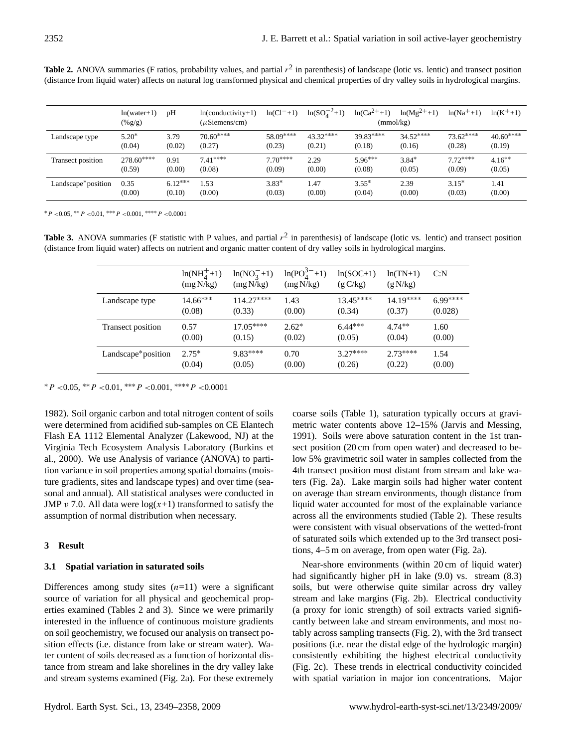**Table 2.** ANOVA summaries (F ratios, probability values, and partial  $r^2$  in parenthesis) of landscape (lotic vs. lentic) and transect position (distance from liquid water) affects on natural log transformed physical and chemical properties of dry valley soils in hydrological margins.

|                                 | $ln(water+1)$<br>$(\%g/g)$ | pH        | $ln(conductivity+1)$<br>$(\mu$ Siemens/cm) | $ln(Cl^{-}+1)$ | $ln(SO_4^{-2}+1)$ | $ln(Ca^{2+}+1)$<br>(mmol/kg) | $ln(Mg^{2+}+1)$ | $ln(Na^{+}+1)$ | $ln(K^{+}+1)$ |
|---------------------------------|----------------------------|-----------|--------------------------------------------|----------------|-------------------|------------------------------|-----------------|----------------|---------------|
| Landscape type                  | $5.20*$                    | 3.79      | $70.60***$                                 | 58.09****      | $43.32***$        | $39.83***$                   | $34.52***$      | $73.62***$     | $40.60***$    |
|                                 | (0.04)                     | (0.02)    | (0.27)                                     | (0.23)         | (0.21)            | (0.18)                       | (0.16)          | (0.28)         | (0.19)        |
| Transect position               | $278.60***$                | 0.91      | $7.41***$                                  | $7.70***$      | 2.29              | $5.96***$                    | $3.84*$         | $7.72***$      | $4.16**$      |
|                                 | (0.59)                     | (0.00)    | (0.08)                                     | (0.09)         | (0.00)            | (0.08)                       | (0.05)          | (0.09)         | (0.05)        |
| Landscape <sup>*</sup> position | 0.35                       | $6.12***$ | .53                                        | $3.83*$        | 1.47              | $3.55*$                      | 2.39            | $3.15*$        | 1.41          |
|                                 | (0.00)                     | (0.10)    | (0.00)                                     | (0.03)         | (0.00)            | (0.04)                       | (0.00)          | (0.03)         | (0.00)        |

 $*P < 0.05, **P < 0.01, ***P < 0.001, ***P < 0.0001$ 

**Table 3.** ANOVA summaries (F statistic with P values, and partial  $r^2$  in parenthesis) of landscape (lotic vs. lentic) and transect position (distance from liquid water) affects on nutrient and organic matter content of dry valley soils in hydrological margins.

|                          | $ln(NH_4^+ + 1)$<br>(mg N/kg) | $ln(NO_3^-+1)$<br>(mg N/kg) | $ln(PO_4^{3-}+1)$<br>(mg N/kg) | $ln(SOC+1)$<br>(g C/kg) | $ln(TN+1)$<br>(g N/kg) | C: N      |
|--------------------------|-------------------------------|-----------------------------|--------------------------------|-------------------------|------------------------|-----------|
| Landscape type           | $14.66***$                    | $114.27***$                 | 1.43                           | $13.45***$              | $14.19***$             | $6.99***$ |
|                          | (0.08)                        | (0.33)                      | (0.00)                         | (0.34)                  | (0.37)                 | (0.028)   |
| <b>Transect position</b> | 0.57                          | $17.05***$                  | $2.62*$                        | $6.44***$               | $4.74***$              | 1.60      |
|                          | (0.00)                        | (0.15)                      | (0.02)                         | (0.05)                  | (0.04)                 | (0.00)    |
| Landscape*position       | $2.75*$                       | $9.83***$                   | 0.70                           | $3.27***$               | $2.73***$              | 1.54      |
|                          | (0.04)                        | (0.05)                      | (0.00)                         | (0.26)                  | (0.22)                 | (0.00)    |

 $*P < 0.05$ ,  $*P < 0.01$ ,  $***P < 0.001$ ,  $****P < 0.0001$ 

1982). Soil organic carbon and total nitrogen content of soils were determined from acidified sub-samples on CE Elantech Flash EA 1112 Elemental Analyzer (Lakewood, NJ) at the Virginia Tech Ecosystem Analysis Laboratory (Burkins et al., 2000). We use Analysis of variance (ANOVA) to partition variance in soil properties among spatial domains (moisture gradients, sites and landscape types) and over time (seasonal and annual). All statistical analyses were conducted in JMP v 7.0. All data were  $log(x+1)$  transformed to satisfy the assumption of normal distribution when necessary.

#### **3 Result**

## **3.1 Spatial variation in saturated soils**

Differences among study sites  $(n=11)$  were a significant source of variation for all physical and geochemical properties examined (Tables 2 and 3). Since we were primarily interested in the influence of continuous moisture gradients on soil geochemistry, we focused our analysis on transect position effects (i.e. distance from lake or stream water). Water content of soils decreased as a function of horizontal distance from stream and lake shorelines in the dry valley lake and stream systems examined (Fig. 2a). For these extremely coarse soils (Table 1), saturation typically occurs at gravimetric water contents above 12–15% (Jarvis and Messing, 1991). Soils were above saturation content in the 1st transect position (20 cm from open water) and decreased to below 5% gravimetric soil water in samples collected from the 4th transect position most distant from stream and lake waters (Fig. 2a). Lake margin soils had higher water content on average than stream environments, though distance from liquid water accounted for most of the explainable variance across all the environments studied (Table 2). These results were consistent with visual observations of the wetted-front of saturated soils which extended up to the 3rd transect positions, 4–5 m on average, from open water (Fig. 2a).

Near-shore environments (within 20 cm of liquid water) had significantly higher pH in lake (9.0) vs. stream (8.3) soils, but were otherwise quite similar across dry valley stream and lake margins (Fig. 2b). Electrical conductivity (a proxy for ionic strength) of soil extracts varied significantly between lake and stream environments, and most notably across sampling transects (Fig. 2), with the 3rd transect positions (i.e. near the distal edge of the hydrologic margin) consistently exhibiting the highest electrical conductivity (Fig. 2c). These trends in electrical conductivity coincided with spatial variation in major ion concentrations. Major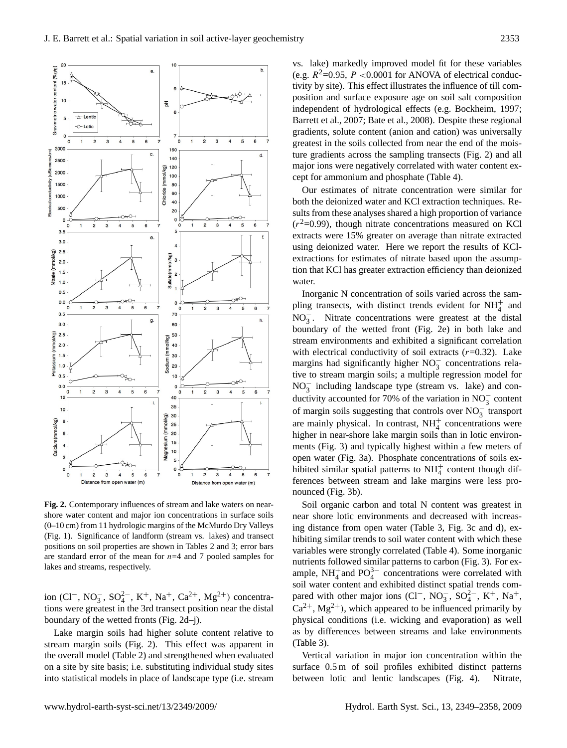

Fig. 2. Contemporary influences of stream and lake waters on nearshore water content and major ion concentrations in surface soils (0–10 cm) from 11 hydrologic margins of the McMurdo Dry Valleys (Fig. 1). Significance of landform (stream vs. lakes) and transect positions on soil properties are shown in Tables 2 and 3; error bars are standard error of the mean for  $n=4$  and 7 pooled samples for lakes and streams, respectively.

ion (Cl<sup>−</sup>, NO<sub>3</sub><sup>-</sup>, SO<sub>4</sub><sup>2</sup><sup>-</sup>, K<sup>+</sup>, Na<sup>+</sup>, Ca<sup>2+</sup>, Mg<sup>2+</sup>) concentrations were greatest in the 3rd transect position near the distal boundary of the wetted fronts (Fig. 2d–j).

Lake margin soils had higher solute content relative to stream margin soils (Fig. 2). This effect was apparent in the overall model (Table 2) and strengthened when evaluated on a site by site basis; i.e. substituting individual study sites into statistical models in place of landscape type (i.e. stream vs. lake) markedly improved model fit for these variables (e.g.  $R^2$ =0.95, P <0.0001 for ANOVA of electrical conductivity by site). This effect illustrates the influence of till composition and surface exposure age on soil salt composition independent of hydrological effects (e.g. Bockheim, 1997; Barrett et al., 2007; Bate et al., 2008). Despite these regional gradients, solute content (anion and cation) was universally greatest in the soils collected from near the end of the moisture gradients across the sampling transects (Fig. 2) and all major ions were negatively correlated with water content except for ammonium and phosphate (Table 4).

Our estimates of nitrate concentration were similar for both the deionized water and KCl extraction techniques. Results from these analyses shared a high proportion of variance  $(r<sup>2</sup>=0.99)$ , though nitrate concentrations measured on KCl extracts were 15% greater on average than nitrate extracted using deionized water. Here we report the results of KClextractions for estimates of nitrate based upon the assumption that KCl has greater extraction efficiency than deionized water.

Inorganic N concentration of soils varied across the sampling transects, with distinct trends evident for  $NH_4^+$  and  $NO<sub>3</sub><sup>-</sup>$ . Nitrate concentrations were greatest at the distal boundary of the wetted front (Fig. 2e) in both lake and stream environments and exhibited a significant correlation with electrical conductivity of soil extracts  $(r=0.32)$ . Lake margins had significantly higher NO<sub>3</sub> concentrations relative to stream margin soils; a multiple regression model for NO<sub>3</sub> including landscape type (stream vs. lake) and conductivity accounted for 70% of the variation in  $NO_3^-$  content of margin soils suggesting that controls over  $NO_3^-$  transport are mainly physical. In contrast,  $NH<sub>4</sub><sup>+</sup>$  concentrations were higher in near-shore lake margin soils than in lotic environments (Fig. 3) and typically highest within a few meters of open water (Fig. 3a). Phosphate concentrations of soils exhibited similar spatial patterns to  $NH<sub>4</sub><sup>+</sup>$  content though differences between stream and lake margins were less pronounced (Fig. 3b).

Soil organic carbon and total N content was greatest in near shore lotic environments and decreased with increasing distance from open water (Table 3, Fig. 3c and d), exhibiting similar trends to soil water content with which these variables were strongly correlated (Table 4). Some inorganic nutrients followed similar patterns to carbon (Fig. 3). For example,  $NH_4^+$  and  $PO_4^{3-}$  concentrations were correlated with soil water content and exhibited distinct spatial trends compared with other major ions (Cl<sup>-</sup>, NO<sub>3</sub>, SO<sub>4</sub><sup>2</sup><sup>-</sup>, K<sup>+</sup>, Na<sup>+</sup>,  $Ca^{2+}$ , Mg<sup>2+</sup>), which appeared to be influenced primarily by physical conditions (i.e. wicking and evaporation) as well as by differences between streams and lake environments (Table 3).

Vertical variation in major ion concentration within the surface 0.5 m of soil profiles exhibited distinct patterns between lotic and lentic landscapes (Fig. 4). Nitrate,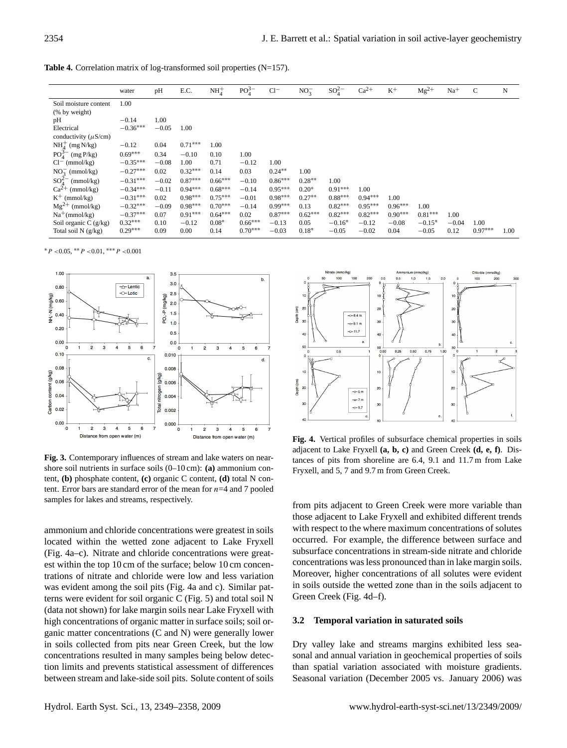Table 4. Correlation matrix of log-transformed soil properties (N=157).

|                                          | water      | pH      | E.C.      | NH <sub>4</sub> | $PO_4^{3-}$ | $Cl^-$    | $NO_3^-$  | $SO_4^{2-}$ | $Ca^{2+}$ | $K^+$     | $Mg^{2+}$ | $Na+$   | $\mathcal{C}$ | N    |
|------------------------------------------|------------|---------|-----------|-----------------|-------------|-----------|-----------|-------------|-----------|-----------|-----------|---------|---------------|------|
| Soil moisture content                    | 1.00       |         |           |                 |             |           |           |             |           |           |           |         |               |      |
| (% by weight)                            |            |         |           |                 |             |           |           |             |           |           |           |         |               |      |
| pH                                       | $-0.14$    | 1.00    |           |                 |             |           |           |             |           |           |           |         |               |      |
| Electrical                               | $-0.36***$ | $-0.05$ | 1.00      |                 |             |           |           |             |           |           |           |         |               |      |
| conductivity ( $\mu$ S/cm)               |            |         |           |                 |             |           |           |             |           |           |           |         |               |      |
| $NH4+ (mg N/kg)$                         | $-0.12$    | 0.04    | $0.71***$ | 1.00            |             |           |           |             |           |           |           |         |               |      |
| $PO_4^{\overrightarrow{3}}$<br>(mg P/kg) | $0.69***$  | 0.34    | $-0.10$   | 0.10            | 1.00        |           |           |             |           |           |           |         |               |      |
| $Cl^{-}$ (mmol/kg)                       | $-0.35***$ | $-0.08$ | 1.00      | 0.71            | $-0.12$     | 1.00      |           |             |           |           |           |         |               |      |
| $NO_2^-$ (mmol/kg)                       | $-0.27***$ | 0.02    | $0.32***$ | 0.14            | 0.03        | $0.24***$ | 1.00      |             |           |           |           |         |               |      |
| $SO_4^2$<br>(mmol/kg)                    | $-0.31***$ | $-0.02$ | $0.87***$ | $0.66***$       | $-0.10$     | $0.86***$ | $0.28**$  | 1.00        |           |           |           |         |               |      |
| $Ca^{2+}$<br>(mmol/kg)                   | $-0.34***$ | $-0.11$ | $0.94***$ | $0.68***$       | $-0.14$     | $0.95***$ | $0.20*$   | $0.91***$   | 1.00      |           |           |         |               |      |
| $K^+$ (mmol/kg)                          | $-0.31***$ | 0.02    | $0.98***$ | $0.75***$       | $-0.01$     | $0.98***$ | $0.27**$  | $0.88***$   | $0.94***$ | 1.00      |           |         |               |      |
| $Mg^{2+}$ (mmol/kg)                      | $-0.32***$ | $-0.09$ | $0.98***$ | $0.70***$       | $-0.14$     | $0.99***$ | 0.13      | $0.82***$   | $0.95***$ | $0.96***$ | 1.00      |         |               |      |
| $Na^{+}(mmol/kg)$                        | $-0.37***$ | 0.07    | $0.91***$ | $0.64***$       | 0.02        | $0.87***$ | $0.62***$ | $0.82***$   | $0.82***$ | $0.90***$ | $0.81***$ | 1.00    |               |      |
| Soil organic $C(g/kg)$                   | $0.32***$  | 0.10    | $-0.12$   | $0.08*$         | $0.66***$   | $-0.13$   | 0.05      | $-0.16*$    | $-0.12$   | $-0.08$   | $-0.15*$  | $-0.04$ | 1.00          |      |
| Total soil $N(g/kg)$                     | $0.29***$  | 0.09    | 0.00      | 0.14            | $0.70***$   | $-0.03$   | $0.18*$   | $-0.05$     | $-0.02$   | 0.04      | $-0.05$   | 0.12    | $0.97***$     | 1.00 |

 $*P$  <0.05,  $*P$  <0.01,  $**P$  <0.001



**Fig. 3.** Contemporary influences of stream and lake waters on nearshore soil nutrients in surface soils (0–10 cm): **(a)** ammonium content, **(b)** phosphate content, **(c)** organic C content, **(d)** total N content. Error bars are standard error of the mean for  $n=4$  and 7 pooled samples for lakes and streams, respectively.

terns were evident for soil organic C (Fig. 5) and total soil N ammonium and chloride concentrations were greatest in soils located within the wetted zone adjacent to Lake Fryxell (Fig. 4a–c). Nitrate and chloride concentrations were greatest within the top 10 cm of the surface; below 10 cm concentrations of nitrate and chloride were low and less variation was evident among the soil pits (Fig. 4a and c). Similar pat-(data not shown) for lake margin soils near Lake Fryxell with high concentrations of organic matter in surface soils; soil organic matter concentrations (C and N) were generally lower in soils collected from pits near Green Creek, but the low concentrations resulted in many samples being below detection limits and prevents statistical assessment of differences between stream and lake-side soil pits. Solute content of soils



**Fig. 4.** Vertical profiles of subsurface chemical properties in soils adjacent to Lake Fryxell **(a, b, c)** and Green Creek **(d, e, f)**. Distances of pits from shoreline are 6.4, 9.1 and 11.7 m from Lake Fryxell, and 5, 7 and 9.7 m from Green Creek.

 concentrations was less pronounced than in lake margin soils. from pits adjacent to Green Creek were more variable than those adjacent to Lake Fryxell and exhibited different trends with respect to the where maximum concentrations of solutes occurred. For example, the difference between surface and subsurface concentrations in stream-side nitrate and chloride Moreover, higher concentrations of all solutes were evident in soils outside the wetted zone than in the soils adjacent to Green Creek (Fig. 4d–f).

## **3.2 Temporal variation in saturated soils**

Dry valley lake and streams margins exhibited less seasonal and annual variation in geochemical properties of soils than spatial variation associated with moisture gradients. Seasonal variation (December 2005 vs. January 2006) was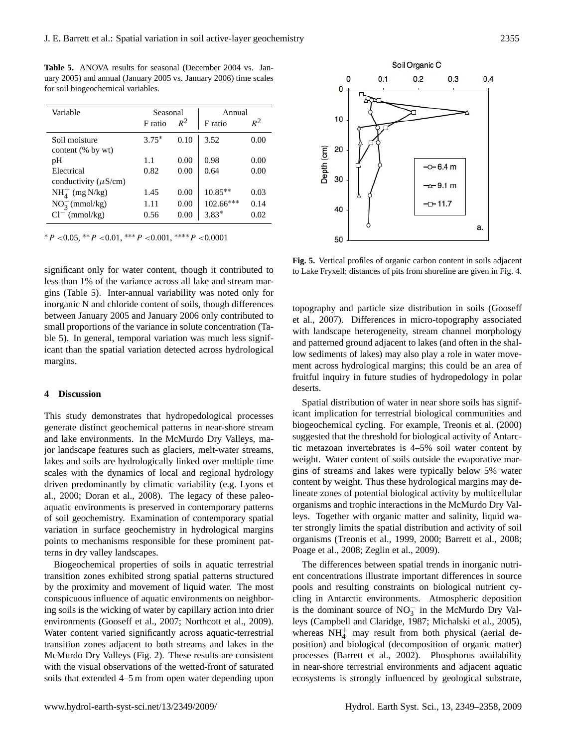**Table 5.** ANOVA results for seasonal (December 2004 vs. January 2005) and annual (January 2005 vs. January 2006) time scales for soil biogeochemical variables.

| Variable                                | Seasonal |       | Annual      |       |  |  |
|-----------------------------------------|----------|-------|-------------|-------|--|--|
|                                         | F ratio  | $R^2$ | F ratio     | $R^2$ |  |  |
| Soil moisture<br>content (% by wt)      | $3.75*$  | 0.10  | 3.52        | 0.00  |  |  |
| pH                                      | 1.1      | 0.00  | 0.98        | 0.00  |  |  |
| Electrical<br>conductivity $(\mu S/cm)$ | 0.82     | 0.00  | 0.64        | 0.00  |  |  |
| $NH4+ (mg N/kg)$                        | 1.45     | 0.00  | $10.85**$   | 0.03  |  |  |
| $NO_3^-$ (mmol/kg)                      | 1.11     | 0.00  | $102.66***$ | 0.14  |  |  |
| $Cl^{-}$ (mmol/kg)                      | 0.56     | 0.00  | $3.83*$     | 0.02  |  |  |

 $*P$  <0.05,  $*P$  <0.01,  $***P$  <0.001,  $***P$  <0.0001

significant only for water content, though it contributed to less than 1% of the variance across all lake and stream margins (Table 5). Inter-annual variability was noted only for inorganic N and chloride content of soils, though differences between January 2005 and January 2006 only contributed to small proportions of the variance in solute concentration (Table 5). In general, temporal variation was much less significant than the spatial variation detected across hydrological margins.

## **4 Discussion**

This study demonstrates that hydropedological processes generate distinct geochemical patterns in near-shore stream and lake environments. In the McMurdo Dry Valleys, major landscape features such as glaciers, melt-water streams, lakes and soils are hydrologically linked over multiple time scales with the dynamics of local and regional hydrology driven predominantly by climatic variability (e.g. Lyons et al., 2000; Doran et al., 2008). The legacy of these paleoaquatic environments is preserved in contemporary patterns of soil geochemistry. Examination of contemporary spatial variation in surface geochemistry in hydrological margins points to mechanisms responsible for these prominent patterns in dry valley landscapes.

Biogeochemical properties of soils in aquatic terrestrial transition zones exhibited strong spatial patterns structured by the proximity and movement of liquid water. The most conspicuous influence of aquatic environments on neighboring soils is the wicking of water by capillary action into drier environments (Gooseff et al., 2007; Northcott et al., 2009). Water content varied significantly across aquatic-terrestrial transition zones adjacent to both streams and lakes in the McMurdo Dry Valleys (Fig. 2). These results are consistent with the visual observations of the wetted-front of saturated soils that extended 4–5 m from open water depending upon



**Fig. 5.** Vertical profiles of organic carbon content in soils adjacent to Lake Fryxell; distances of pits from shoreline are given in Fig. 4.

topography and particle size distribution in soils (Gooseff et al., 2007). Differences in micro-topography associated with landscape heterogeneity, stream channel morphology and patterned ground adjacent to lakes (and often in the shallow sediments of lakes) may also play a role in water movement across hydrological margins; this could be an area of fruitful inquiry in future studies of hydropedology in polar deserts.

suggested that the threshold for biological activity of Antarc-Spatial distribution of water in near shore soils has significant implication for terrestrial biological communities and biogeochemical cycling. For example, Treonis et al. (2000) tic metazoan invertebrates is 4–5% soil water content by weight. Water content of soils outside the evaporative margins of streams and lakes were typically below 5% water content by weight. Thus these hydrological margins may delineate zones of potential biological activity by multicellular organisms and trophic interactions in the McMurdo Dry Valleys. Together with organic matter and salinity, liquid water strongly limits the spatial distribution and activity of soil organisms (Treonis et al., 1999, 2000; Barrett et al., 2008; Poage et al., 2008; Zeglin et al., 2009).

The differences between spatial trends in inorganic nutrient concentrations illustrate important differences in source pools and resulting constraints on biological nutrient cycling in Antarctic environments. Atmospheric deposition is the dominant source of  $NO_3^-$  in the McMurdo Dry Valleys (Campbell and Claridge, 1987; Michalski et al., 2005), whereas  $NH<sub>4</sub><sup>+</sup>$  may result from both physical (aerial deposition) and biological (decomposition of organic matter) processes (Barrett et al., 2002). Phosphorus availability in near-shore terrestrial environments and adjacent aquatic ecosystems is strongly influenced by geological substrate,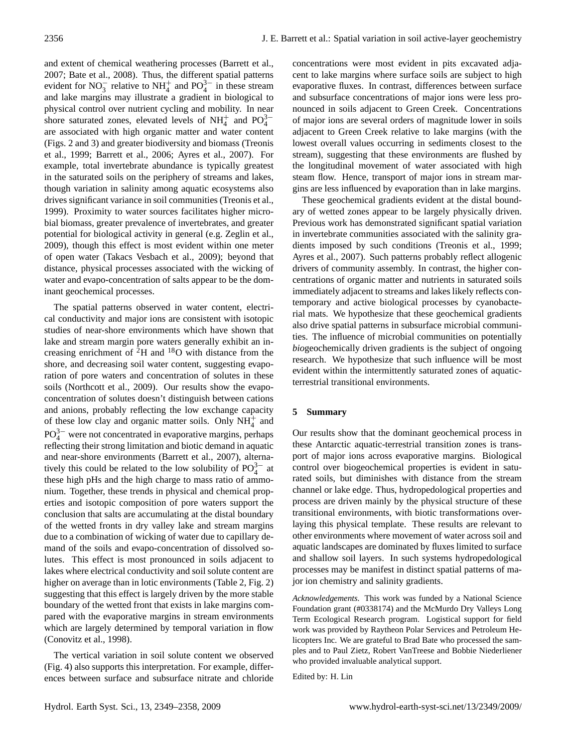and extent of chemical weathering processes (Barrett et al., 2007; Bate et al., 2008). Thus, the different spatial patterns evident for NO<sub>3</sub> relative to NH<sup>+</sup><sub>4</sub> and PO<sub>4</sub><sup>3-</sup> in these stream and lake margins may illustrate a gradient in biological to physical control over nutrient cycling and mobility. In near shore saturated zones, elevated levels of  $NH_4^+$  and  $PO_4^{3-}$ are associated with high organic matter and water content (Figs. 2 and 3) and greater biodiversity and biomass (Treonis et al., 1999; Barrett et al., 2006; Ayres et al., 2007). For example, total invertebrate abundance is typically greatest in the saturated soils on the periphery of streams and lakes, though variation in salinity among aquatic ecosystems also drives significant variance in soil communities (Treonis et al., 1999). Proximity to water sources facilitates higher microbial biomass, greater prevalence of invertebrates, and greater potential for biological activity in general (e.g. Zeglin et al., 2009), though this effect is most evident within one meter of open water (Takacs Vesbach et al., 2009); beyond that distance, physical processes associated with the wicking of water and evapo-concentration of salts appear to be the dominant geochemical processes.

The spatial patterns observed in water content, electrical conductivity and major ions are consistent with isotopic studies of near-shore environments which have shown that lake and stream margin pore waters generally exhibit an increasing enrichment of  ${}^{2}H$  and  ${}^{18}O$  with distance from the shore, and decreasing soil water content, suggesting evaporation of pore waters and concentration of solutes in these soils (Northcott et al., 2009). Our results show the evapoconcentration of solutes doesn't distinguish between cations and anions, probably reflecting the low exchange capacity of these low clay and organic matter soils. Only  $NH_4^+$  and  $PO_4^{3-}$  were not concentrated in evaporative margins, perhaps reflecting their strong limitation and biotic demand in aquatic and near-shore environments (Barrett et al., 2007), alternatively this could be related to the low solubility of  $PO_4^{3-}$  at these high pHs and the high charge to mass ratio of ammonium. Together, these trends in physical and chemical properties and isotopic composition of pore waters support the conclusion that salts are accumulating at the distal boundary of the wetted fronts in dry valley lake and stream margins due to a combination of wicking of water due to capillary demand of the soils and evapo-concentration of dissolved solutes. This effect is most pronounced in soils adjacent to lakes where electrical conductivity and soil solute content are higher on average than in lotic environments (Table 2, Fig. 2) suggesting that this effect is largely driven by the more stable boundary of the wetted front that exists in lake margins compared with the evaporative margins in stream environments which are largely determined by temporal variation in flow (Conovitz et al., 1998).

The vertical variation in soil solute content we observed (Fig. 4) also supports this interpretation. For example, differences between surface and subsurface nitrate and chloride concentrations were most evident in pits excavated adjacent to lake margins where surface soils are subject to high evaporative fluxes. In contrast, differences between surface and subsurface concentrations of major ions were less pronounced in soils adjacent to Green Creek. Concentrations of major ions are several orders of magnitude lower in soils adjacent to Green Creek relative to lake margins (with the lowest overall values occurring in sediments closest to the stream), suggesting that these environments are flushed by the longitudinal movement of water associated with high steam flow. Hence, transport of major ions in stream margins are less influenced by evaporation than in lake margins.

These geochemical gradients evident at the distal boundary of wetted zones appear to be largely physically driven. Previous work has demonstrated significant spatial variation in invertebrate communities associated with the salinity gradients imposed by such conditions (Treonis et al., 1999; Ayres et al., 2007). Such patterns probably reflect allogenic drivers of community assembly. In contrast, the higher concentrations of organic matter and nutrients in saturated soils immediately adjacent to streams and lakes likely reflects contemporary and active biological processes by cyanobacterial mats. We hypothesize that these geochemical gradients also drive spatial patterns in subsurface microbial communities. The influence of microbial communities on potentially *bio*geochemically driven gradients is the subject of ongoing research. We hypothesize that such influence will be most evident within the intermittently saturated zones of aquaticterrestrial transitional environments.

## **5 Summary**

Our results show that the dominant geochemical process in these Antarctic aquatic-terrestrial transition zones is transport of major ions across evaporative margins. Biological control over biogeochemical properties is evident in saturated soils, but diminishes with distance from the stream channel or lake edge. Thus, hydropedological properties and process are driven mainly by the physical structure of these transitional environments, with biotic transformations overlaying this physical template. These results are relevant to other environments where movement of water across soil and aquatic landscapes are dominated by fluxes limited to surface and shallow soil layers. In such systems hydropedological processes may be manifest in distinct spatial patterns of major ion chemistry and salinity gradients.

*Acknowledgements.* This work was funded by a National Science Foundation grant (#0338174) and the McMurdo Dry Valleys Long Term Ecological Research program. Logistical support for field work was provided by Raytheon Polar Services and Petroleum Helicopters Inc. We are grateful to Brad Bate who processed the samples and to Paul Zietz, Robert VanTreese and Bobbie Niederliener who provided invaluable analytical support.

Edited by: H. Lin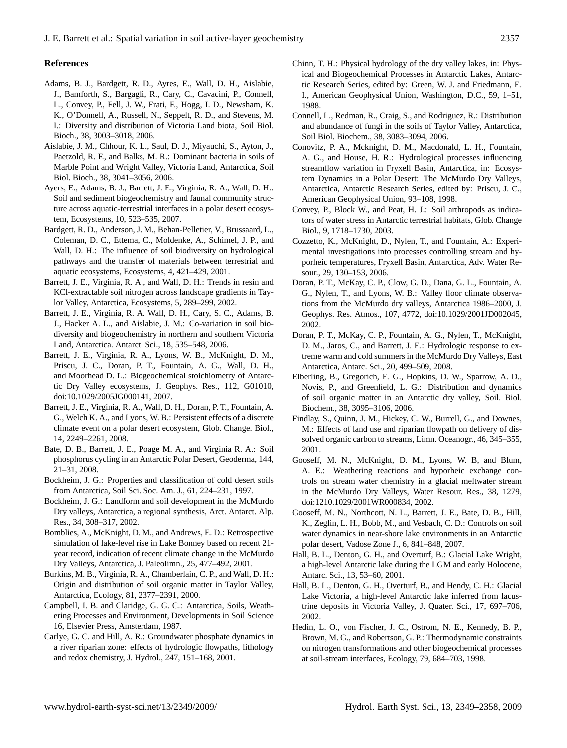#### **References**

- Adams, B. J., Bardgett, R. D., Ayres, E., Wall, D. H., Aislabie, J., Bamforth, S., Bargagli, R., Cary, C., Cavacini, P., Connell, L., Convey, P., Fell, J. W., Frati, F., Hogg, I. D., Newsham, K. K., O'Donnell, A., Russell, N., Seppelt, R. D., and Stevens, M. I.: Diversity and distribution of Victoria Land biota, Soil Biol. Bioch., 38, 3003–3018, 2006.
- Aislabie, J. M., Chhour, K. L., Saul, D. J., Miyauchi, S., Ayton, J., Paetzold, R. F., and Balks, M. R.: Dominant bacteria in soils of Marble Point and Wright Valley, Victoria Land, Antarctica, Soil Biol. Bioch., 38, 3041–3056, 2006.
- Ayers, E., Adams, B. J., Barrett, J. E., Virginia, R. A., Wall, D. H.: Soil and sediment biogeochemistry and faunal community structure across aquatic-terrestrial interfaces in a polar desert ecosystem, Ecosystems, 10, 523–535, 2007.
- Bardgett, R. D., Anderson, J. M., Behan-Pelletier, V., Brussaard, L., Coleman, D. C., Ettema, C., Moldenke, A., Schimel, J. P., and Wall, D. H.: The influence of soil biodiversity on hydrological pathways and the transfer of materials between terrestrial and aquatic ecosystems, Ecosystems, 4, 421–429, 2001.
- Barrett, J. E., Virginia, R. A., and Wall, D. H.: Trends in resin and KCl-extractable soil nitrogen across landscape gradients in Taylor Valley, Antarctica, Ecosystems, 5, 289–299, 2002.
- Barrett, J. E., Virginia, R. A. Wall, D. H., Cary, S. C., Adams, B. J., Hacker A. L., and Aislabie, J. M.: Co-variation in soil biodiversity and biogeochemistry in northern and southern Victoria Land, Antarctica. Antarct. Sci., 18, 535–548, 2006.
- Barrett, J. E., Virginia, R. A., Lyons, W. B., McKnight, D. M., Priscu, J. C., Doran, P. T., Fountain, A. G., Wall, D. H., and Moorhead D. L.: Biogeochemical stoichiometry of Antarctic Dry Valley ecosystems, J. Geophys. Res., 112, G01010, doi:10.1029/2005JG000141, 2007.
- Barrett, J. E., Virginia, R. A., Wall, D. H., Doran, P. T., Fountain, A. G., Welch K. A., and Lyons, W. B.: Persistent effects of a discrete climate event on a polar desert ecosystem, Glob. Change. Biol., 14, 2249–2261, 2008.
- Bate, D. B., Barrett, J. E., Poage M. A., and Virginia R. A.: Soil phosphorus cycling in an Antarctic Polar Desert, Geoderma, 144, 21–31, 2008.
- Bockheim, J. G.: Properties and classification of cold desert soils from Antarctica, Soil Sci. Soc. Am. J., 61, 224–231, 1997.
- Bockheim, J. G.: Landform and soil development in the McMurdo Dry valleys, Antarctica, a regional synthesis, Arct. Antarct. Alp. Res., 34, 308–317, 2002.
- Bomblies, A., McKnight, D. M., and Andrews, E. D.: Retrospective simulation of lake-level rise in Lake Bonney based on recent 21 year record, indication of recent climate change in the McMurdo Dry Valleys, Antarctica, J. Paleolimn., 25, 477–492, 2001.
- Burkins, M. B., Virginia, R. A., Chamberlain, C. P., and Wall, D. H.: Origin and distribution of soil organic matter in Taylor Valley, Antarctica, Ecology, 81, 2377–2391, 2000.
- Campbell, I. B. and Claridge, G. G. C.: Antarctica, Soils, Weathering Processes and Environment, Developments in Soil Science 16, Elsevier Press, Amsterdam, 1987.
- Carlye, G. C. and Hill, A. R.: Groundwater phosphate dynamics in a river riparian zone: effects of hydrologic flowpaths, lithology and redox chemistry, J. Hydrol., 247, 151–168, 2001.
- Chinn, T. H.: Physical hydrology of the dry valley lakes, in: Physical and Biogeochemical Processes in Antarctic Lakes, Antarctic Research Series, edited by: Green, W. J. and Friedmann, E. I., American Geophysical Union, Washington, D.C., 59, 1–51, 1988.
- Connell, L., Redman, R., Craig, S., and Rodriguez, R.: Distribution and abundance of fungi in the soils of Taylor Valley, Antarctica, Soil Biol. Biochem., 38, 3083–3094, 2006.
- Conovitz, P. A., Mcknight, D. M., Macdonald, L. H., Fountain, A. G., and House, H. R.: Hydrological processes influencing streamflow variation in Fryxell Basin, Antarctica, in: Ecosystem Dynamics in a Polar Desert: The McMurdo Dry Valleys, Antarctica, Antarctic Research Series, edited by: Priscu, J. C., American Geophysical Union, 93–108, 1998.
- Convey, P., Block W., and Peat, H. J.: Soil arthropods as indicators of water stress in Antarctic terrestrial habitats, Glob. Change Biol., 9, 1718–1730, 2003.
- Cozzetto, K., McKnight, D., Nylen, T., and Fountain, A.: Experimental investigations into processes controlling stream and hyporheic temperatures, Fryxell Basin, Antarctica, Adv. Water Resour., 29, 130–153, 2006.
- Doran, P. T., McKay, C. P., Clow, G. D., Dana, G. L., Fountain, A. G., Nylen, T., and Lyons, W. B.: Valley floor climate observations from the McMurdo dry valleys, Antarctica 1986–2000, J. Geophys. Res. Atmos., 107, 4772, doi:10.1029/2001JD002045, 2002.
- Doran, P. T., McKay, C. P., Fountain, A. G., Nylen, T., McKnight, D. M., Jaros, C., and Barrett, J. E.: Hydrologic response to extreme warm and cold summers in the McMurdo Dry Valleys, East Antarctica, Antarc. Sci., 20, 499–509, 2008.
- Elberling, B., Gregorich, E. G., Hopkins, D. W., Sparrow, A. D., Novis, P., and Greenfield, L. G.: Distribution and dynamics of soil organic matter in an Antarctic dry valley, Soil. Biol. Biochem., 38, 3095–3106, 2006.
- Findlay, S., Quinn, J. M., Hickey, C. W., Burrell, G., and Downes, M.: Effects of land use and riparian flowpath on delivery of dissolved organic carbon to streams, Limn. Oceanogr., 46, 345–355, 2001.
- Gooseff, M. N., McKnight, D. M., Lyons, W. B, and Blum, A. E.: Weathering reactions and hyporheic exchange controls on stream water chemistry in a glacial meltwater stream in the McMurdo Dry Valleys, Water Resour. Res., 38, 1279, doi:1210.1029/2001WR000834, 2002.
- Gooseff, M. N., Northcott, N. L., Barrett, J. E., Bate, D. B., Hill, K., Zeglin, L. H., Bobb, M., and Vesbach, C. D.: Controls on soil water dynamics in near-shore lake environments in an Antarctic polar desert, Vadose Zone J., 6, 841–848, 2007.
- Hall, B. L., Denton, G. H., and Overturf, B.: Glacial Lake Wright, a high-level Antarctic lake during the LGM and early Holocene, Antarc. Sci., 13, 53–60, 2001.
- Hall, B. L., Denton, G. H., Overturf, B., and Hendy, C. H.: Glacial Lake Victoria, a high-level Antarctic lake inferred from lacustrine deposits in Victoria Valley, J. Quater. Sci., 17, 697–706, 2002.
- Hedin, L. O., von Fischer, J. C., Ostrom, N. E., Kennedy, B. P., Brown, M. G., and Robertson, G. P.: Thermodynamic constraints on nitrogen transformations and other biogeochemical processes at soil-stream interfaces, Ecology, 79, 684–703, 1998.